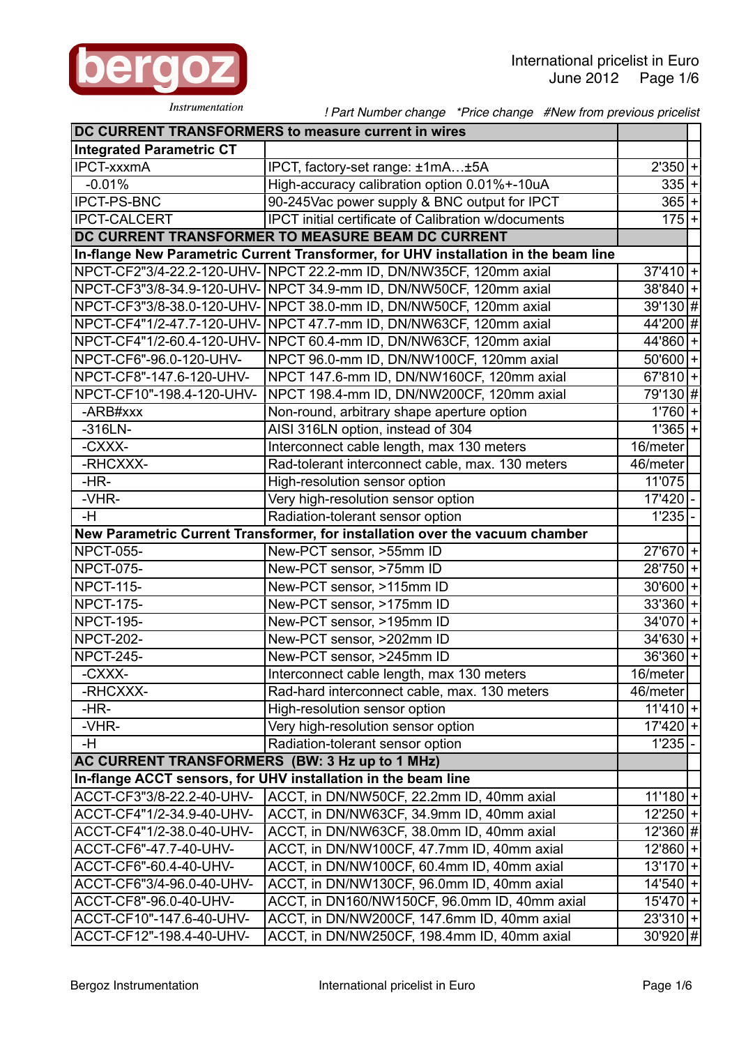

Instrumentation

 *! Part Number change \*Price change #New from previous pricelist*

|                                                | DC CURRENT TRANSFORMERS to measure current in wires                                 |                        |
|------------------------------------------------|-------------------------------------------------------------------------------------|------------------------|
| <b>Integrated Parametric CT</b>                |                                                                                     |                        |
| <b>IPCT-xxxmA</b>                              | IPCT, factory-set range: ±1mA±5A                                                    | $2'350 +$              |
| $-0.01%$                                       | High-accuracy calibration option 0.01%+-10uA                                        | $335 + $               |
| <b>IPCT-PS-BNC</b>                             | 90-245Vac power supply & BNC output for IPCT                                        | $365+$                 |
| <b>IPCT-CALCERT</b>                            | <b>IPCT</b> initial certificate of Calibration w/documents                          | $175 +$                |
|                                                | DC CURRENT TRANSFORMER TO MEASURE BEAM DC CURRENT                                   |                        |
|                                                | In-flange New Parametric Current Transformer, for UHV installation in the beam line |                        |
|                                                | NPCT-CF2"3/4-22.2-120-UHV- NPCT 22.2-mm ID, DN/NW35CF, 120mm axial                  | $37'410$ +             |
|                                                | NPCT-CF3"3/8-34.9-120-UHV- NPCT 34.9-mm ID, DN/NW50CF, 120mm axial                  | $38'840 +$             |
|                                                | NPCT-CF3"3/8-38.0-120-UHV- NPCT 38.0-mm ID, DN/NW50CF, 120mm axial                  | $39'130$ #             |
|                                                | NPCT-CF4"1/2-47.7-120-UHV- NPCT 47.7-mm ID, DN/NW63CF, 120mm axial                  | 44'200 #               |
|                                                | NPCT-CF4"1/2-60.4-120-UHV- NPCT 60.4-mm ID, DN/NW63CF, 120mm axial                  | $44'860+$              |
| NPCT-CF6"-96.0-120-UHV-                        | NPCT 96.0-mm ID, DN/NW100CF, 120mm axial                                            | $50'600$ +             |
| NPCT-CF8"-147.6-120-UHV-                       | NPCT 147.6-mm ID, DN/NW160CF, 120mm axial                                           | $67'810$ +             |
| NPCT-CF10"-198.4-120-UHV-                      | NPCT 198.4-mm ID, DN/NW200CF, 120mm axial                                           | 79'130 #               |
| -ARB#xxx                                       | Non-round, arbitrary shape aperture option                                          | $1'760$  +             |
| $-316LN-$                                      | AISI 316LN option, instead of 304                                                   | $1'365+$               |
| -CXXX-                                         | Interconnect cable length, max 130 meters                                           | 16/meter               |
| -RHCXXX-                                       | Rad-tolerant interconnect cable, max. 130 meters                                    | 46/meter               |
| $-HR-$                                         | High-resolution sensor option                                                       | 11'075                 |
| -VHR-                                          | Very high-resolution sensor option                                                  | 17'420                 |
| -H                                             | Radiation-tolerant sensor option                                                    | 1'235                  |
|                                                | New Parametric Current Transformer, for installation over the vacuum chamber        |                        |
| <b>NPCT-055-</b>                               | New-PCT sensor, >55mm ID                                                            | $27'670$ +             |
| <b>NPCT-075-</b>                               | New-PCT sensor, >75mm ID                                                            | $28'750+$              |
| <b>NPCT-115-</b>                               | New-PCT sensor, >115mm ID                                                           | $30'600$ +             |
| <b>NPCT-175-</b>                               | New-PCT sensor, >175mm ID                                                           | $33'360+$              |
| <b>NPCT-195-</b>                               | New-PCT sensor, >195mm ID                                                           | $34'070$ +             |
| <b>NPCT-202-</b>                               | New-PCT sensor, >202mm ID                                                           | $34'630+$              |
| <b>NPCT-245-</b>                               | New-PCT sensor, >245mm ID                                                           | $36'360+$              |
| -CXXX-                                         | Interconnect cable length, max 130 meters                                           | 16/meter               |
| -RHCXXX-                                       | Rad-hard interconnect cable, max. 130 meters                                        | 46/meter               |
| $-HR-$                                         | High-resolution sensor option                                                       | $11'410$ +             |
| -VHR-                                          | Very high-resolution sensor option                                                  | $17'420$ +             |
| -H                                             | Radiation-tolerant sensor option                                                    | 1'235                  |
| AC CURRENT TRANSFORMERS (BW: 3 Hz up to 1 MHz) |                                                                                     |                        |
|                                                | In-flange ACCT sensors, for UHV installation in the beam line                       |                        |
| ACCT-CF3"3/8-22.2-40-UHV-                      | ACCT, in DN/NW50CF, 22.2mm ID, 40mm axial                                           | $11'180$ +             |
| ACCT-CF4"1/2-34.9-40-UHV-                      | ACCT, in DN/NW63CF, 34.9mm ID, 40mm axial                                           | $12'250$ +             |
| ACCT-CF4"1/2-38.0-40-UHV-                      | ACCT, in DN/NW63CF, 38.0mm ID, 40mm axial                                           | $\overline{12}$ '360 # |
| ACCT-CF6"-47.7-40-UHV-                         | ACCT, in DN/NW100CF, 47.7mm ID, 40mm axial                                          | $12'860+$              |
| ACCT-CF6"-60.4-40-UHV-                         | ACCT, in DN/NW100CF, 60.4mm ID, 40mm axial                                          | $13'170$ +             |
| ACCT-CF6"3/4-96.0-40-UHV-                      | ACCT, in DN/NW130CF, 96.0mm ID, 40mm axial                                          | $14'540$ +             |
| ACCT-CF8"-96.0-40-UHV-                         | ACCT, in DN160/NW150CF, 96.0mm ID, 40mm axial                                       | $15'470$ +             |
| ACCT-CF10"-147.6-40-UHV-                       | ACCT, in DN/NW200CF, 147.6mm ID, 40mm axial                                         | $23'310 +$             |
| ACCT-CF12"-198.4-40-UHV-                       | ACCT, in DN/NW250CF, 198.4mm ID, 40mm axial                                         | $30'920$ #             |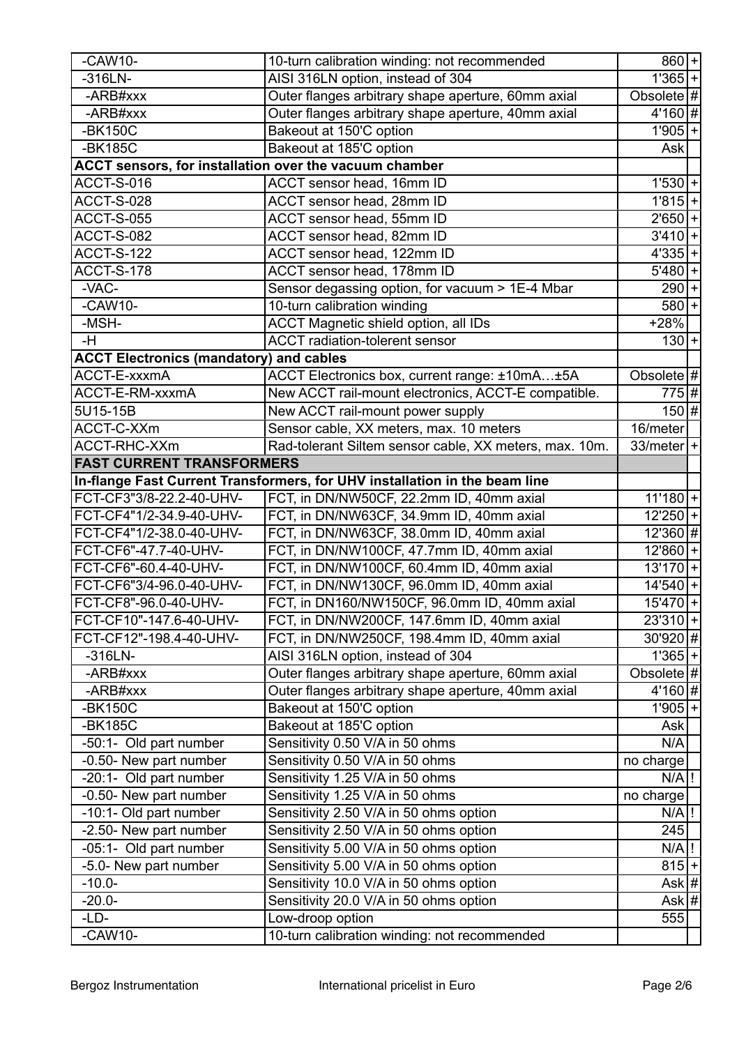| $-CAW10-$                                      | 10-turn calibration winding: not recommended                                               | $\overline{860} + $         |
|------------------------------------------------|--------------------------------------------------------------------------------------------|-----------------------------|
| $-316LN-$                                      | AISI 316LN option, instead of 304                                                          | $1'365+$                    |
| -ARB#xxx                                       | Outer flanges arbitrary shape aperture, 60mm axial                                         | Obsolete $ # $              |
| -ARB#xxx                                       | Outer flanges arbitrary shape aperture, 40mm axial                                         | $4'160$ #                   |
| -BK150C                                        | Bakeout at 150'C option                                                                    | $1'905$ +                   |
| -BK185C                                        | Bakeout at 185'C option                                                                    | Ask                         |
|                                                | ACCT sensors, for installation over the vacuum chamber                                     |                             |
| ACCT-S-016                                     | ACCT sensor head, 16mm ID                                                                  | $1'530 +$                   |
| <b>ACCT-S-028</b>                              | ACCT sensor head, 28mm ID                                                                  | $1'815+$                    |
| <b>ACCT-S-055</b>                              | ACCT sensor head, 55mm ID                                                                  | $2'650+$                    |
| ACCT-S-082                                     | ACCT sensor head, 82mm ID                                                                  | $3'410 +$                   |
| <b>ACCT-S-122</b>                              | ACCT sensor head, 122mm ID                                                                 | $4'335 +$                   |
| ACCT-S-178                                     | ACCT sensor head, 178mm ID                                                                 | $5'480 +$                   |
| -VAC-                                          | Sensor degassing option, for vacuum > 1E-4 Mbar                                            | $290 +$                     |
| $-CAW10-$                                      | 10-turn calibration winding                                                                | $580 + $                    |
| -MSH-                                          | ACCT Magnetic shield option, all IDs                                                       | $+28%$                      |
| -H                                             | <b>ACCT</b> radiation-tolerent sensor                                                      | $130 +$                     |
| <b>ACCT Electronics (mandatory) and cables</b> |                                                                                            |                             |
| ACCT-E-xxxmA                                   | ACCT Electronics box, current range: ±10mA±5A                                              | Obsolete $#$                |
| ACCT-E-RM-xxxmA                                | New ACCT rail-mount electronics, ACCT-E compatible.                                        | 775 #                       |
| 5U15-15B                                       | New ACCT rail-mount power supply                                                           | $150$ #                     |
| ACCT-C-XXm                                     | Sensor cable, XX meters, max. 10 meters                                                    | 16/meter                    |
| ACCT-RHC-XXm                                   | Rad-tolerant Siltem sensor cable, XX meters, max. 10m.                                     | $33/meter$  +               |
| <b>FAST CURRENT TRANSFORMERS</b>               |                                                                                            |                             |
|                                                | In-flange Fast Current Transformers, for UHV installation in the beam line                 |                             |
| FCT-CF3"3/8-22.2-40-UHV-                       | FCT, in DN/NW50CF, 22.2mm ID, 40mm axial                                                   | $11'180$ +                  |
| FCT-CF4"1/2-34.9-40-UHV-                       | FCT, in DN/NW63CF, 34.9mm ID, 40mm axial                                                   | $\overline{12}$ '250 +      |
| FCT-CF4"1/2-38.0-40-UHV-                       | FCT, in DN/NW63CF, 38.0mm ID, 40mm axial                                                   | $12'360$ #                  |
| FCT-CF6"-47.7-40-UHV-                          | FCT, in DN/NW100CF, 47.7mm ID, 40mm axial                                                  |                             |
| FCT-CF6"-60.4-40-UHV-                          | FCT, in DN/NW100CF, 60.4mm ID, 40mm axial                                                  | $12'860+$<br>$13'170$ +     |
| FCT-CF6"3/4-96.0-40-UHV-                       | FCT, in DN/NW130CF, 96.0mm ID, 40mm axial                                                  | $14'540$ +                  |
| FCT-CF8"-96.0-40-UHV-                          |                                                                                            | $15'470$ +                  |
| FCT-CF10"-147.6-40-UHV-                        | FCT, in DN160/NW150CF, 96.0mm ID, 40mm axial<br>FCT, in DN/NW200CF, 147.6mm ID, 40mm axial |                             |
| FCT-CF12"-198.4-40-UHV-                        |                                                                                            | $23'310+$<br>$30'920$ #     |
| $-316LN-$                                      | FCT, in DN/NW250CF, 198.4mm ID, 40mm axial<br>AISI 316LN option, instead of 304            |                             |
| -ARB#xxx                                       | Outer flanges arbitrary shape aperture, 60mm axial                                         | $1'365$ +<br>Obsolete $ # $ |
| -ARB#xxx                                       | Outer flanges arbitrary shape aperture, 40mm axial                                         | $4'160$ #                   |
|                                                |                                                                                            |                             |
| -BK150C                                        | Bakeout at 150'C option                                                                    | $1'905$ +                   |
| -BK185C                                        | Bakeout at 185'C option                                                                    | Ask                         |
| -50:1- Old part number                         | Sensitivity 0.50 V/A in 50 ohms                                                            | N/A                         |
| -0.50- New part number                         | Sensitivity 0.50 V/A in 50 ohms                                                            | $\overline{no}$ charge      |
| -20:1- Old part number                         | Sensitivity 1.25 V/A in 50 ohms                                                            | $N/A$ !                     |
| -0.50- New part number                         | Sensitivity 1.25 V/A in 50 ohms                                                            | no charge                   |
| -10:1- Old part number                         | Sensitivity 2.50 V/A in 50 ohms option                                                     | $N/A$ !                     |
| -2.50- New part number                         | Sensitivity 2.50 V/A in 50 ohms option                                                     | 245                         |
| -05:1- Old part number                         | Sensitivity 5.00 V/A in 50 ohms option                                                     | $N/A$ !                     |
| -5.0- New part number                          | Sensitivity 5.00 V/A in 50 ohms option                                                     | $815+$                      |
| $-10.0-$                                       | Sensitivity 10.0 V/A in 50 ohms option                                                     | Ask #                       |
| $-20.0-$                                       | Sensitivity 20.0 V/A in 50 ohms option                                                     | Ask #                       |
| $-LD-$                                         | Low-droop option                                                                           | 555                         |
| $-CAW10-$                                      | 10-turn calibration winding: not recommended                                               |                             |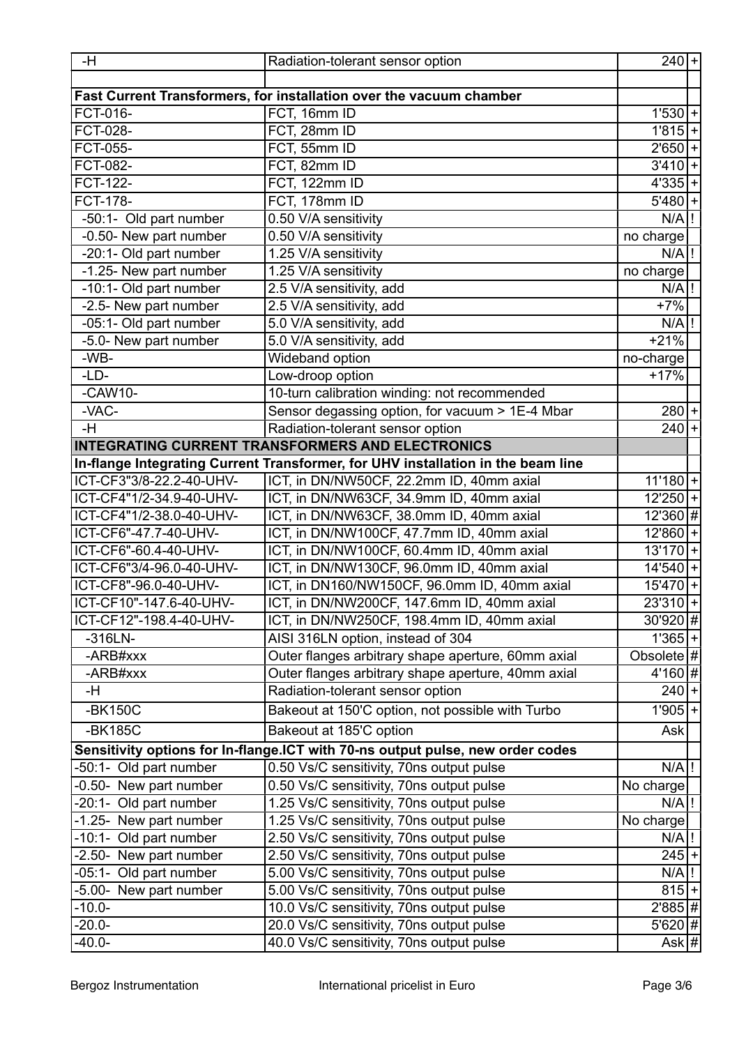| Fast Current Transformers, for installation over the vacuum chamber<br>FCT, 16mm ID<br>FCT-016-<br><b>FCT-028-</b><br>FCT, 28mm ID<br>FCT-055-<br>FCT, 55mm ID<br>$2'650+$<br>FCT, 82mm ID<br>FCT-082-<br>FCT, 122mm ID<br>$4'335+$<br><b>FCT-122-</b><br><b>FCT-178-</b><br>FCT, 178mm ID<br>0.50 V/A sensitivity<br>N/A<br>-50:1- Old part number<br>-0.50- New part number<br>0.50 V/A sensitivity<br>no charge<br>-20:1- Old part number<br>1.25 V/A sensitivity<br>$N/A$ !<br>-1.25- New part number<br>1.25 V/A sensitivity<br>no charge<br>-10:1- Old part number<br>2.5 V/A sensitivity, add<br>$N/A$ !<br>$+7%$<br>-2.5- New part number<br>2.5 V/A sensitivity, add<br>-05:1- Old part number<br>5.0 V/A sensitivity, add<br>$N/A$ !<br>-5.0- New part number<br>5.0 V/A sensitivity, add<br>$+21%$<br>-WB-<br>Wideband option<br>no-charge<br>$-LD-$<br>Low-droop option<br>$+17%$<br>10-turn calibration winding: not recommended<br>$-CAW10-$<br>$-VAC-$<br>Sensor degassing option, for vacuum > 1E-4 Mbar<br>-H<br>Radiation-tolerant sensor option<br>$240+$<br><b>INTEGRATING CURRENT TRANSFORMERS AND ELECTRONICS</b><br>In-flange Integrating Current Transformer, for UHV installation in the beam line<br>ICT-CF3"3/8-22.2-40-UHV-<br>ICT, in DN/NW50CF, 22.2mm ID, 40mm axial<br>ICT-CF4"1/2-34.9-40-UHV-<br>ICT, in DN/NW63CF, 34.9mm ID, 40mm axial<br>ICT, in DN/NW63CF, 38.0mm ID, 40mm axial<br>ICT-CF4"1/2-38.0-40-UHV-<br>ICT-CF6"-47.7-40-UHV-<br>ICT, in DN/NW100CF, 47.7mm ID, 40mm axial<br>ICT-CF6"-60.4-40-UHV-<br>ICT, in DN/NW100CF, 60.4mm ID, 40mm axial<br>$13'170$ +<br>ICT-CF6"3/4-96.0-40-UHV-<br>ICT, in DN/NW130CF, 96.0mm ID, 40mm axial<br>ICT, in DN160/NW150CF, 96.0mm ID, 40mm axial<br>ICT-CF8"-96.0-40-UHV-<br>ICT, in DN/NW200CF, 147.6mm ID, 40mm axial<br>ICT-CF10"-147.6-40-UHV-<br>ICT-CF12"-198.4-40-UHV-<br>ICT, in DN/NW250CF, 198.4mm ID, 40mm axial<br>AISI 316LN option, instead of 304<br>$-316LN-$<br>-ARB#xxx<br>Outer flanges arbitrary shape aperture, 60mm axial<br>-ARB#xxx<br>Outer flanges arbitrary shape aperture, 40mm axial<br>-H<br>Radiation-tolerant sensor option<br>$-BK150C$<br>Bakeout at 150'C option, not possible with Turbo<br>-BK185C<br>Bakeout at 185'C option<br><b>Ask</b><br>Sensitivity options for In-flange.ICT with 70-ns output pulse, new order codes<br>0.50 Vs/C sensitivity, 70ns output pulse<br>-50:1- Old part number<br>N/A<br>0.50 Vs/C sensitivity, 70ns output pulse<br>$\overline{No}$ charge<br>-0.50- New part number<br>-20:1- Old part number<br>1.25 Vs/C sensitivity, 70ns output pulse<br>$N/A$ !<br>1.25 Vs/C sensitivity, 70ns output pulse<br>-1.25- New part number<br>No charge<br>-10:1- Old part number<br>2.50 Vs/C sensitivity, 70ns output pulse<br>$N/A$ !<br>-2.50- New part number<br>2.50 Vs/C sensitivity, 70ns output pulse<br>5.00 Vs/C sensitivity, 70ns output pulse<br>$N/A$ !<br>-05:1- Old part number<br>-5.00- New part number<br>5.00 Vs/C sensitivity, 70ns output pulse<br>$-10.0-$<br>10.0 Vs/C sensitivity, 70ns output pulse<br>20.0 Vs/C sensitivity, 70ns output pulse<br>$-20.0-$<br>$-40.0-$<br>40.0 Vs/C sensitivity, 70ns output pulse | -H | Radiation-tolerant sensor option | $240 +$ |
|-------------------------------------------------------------------------------------------------------------------------------------------------------------------------------------------------------------------------------------------------------------------------------------------------------------------------------------------------------------------------------------------------------------------------------------------------------------------------------------------------------------------------------------------------------------------------------------------------------------------------------------------------------------------------------------------------------------------------------------------------------------------------------------------------------------------------------------------------------------------------------------------------------------------------------------------------------------------------------------------------------------------------------------------------------------------------------------------------------------------------------------------------------------------------------------------------------------------------------------------------------------------------------------------------------------------------------------------------------------------------------------------------------------------------------------------------------------------------------------------------------------------------------------------------------------------------------------------------------------------------------------------------------------------------------------------------------------------------------------------------------------------------------------------------------------------------------------------------------------------------------------------------------------------------------------------------------------------------------------------------------------------------------------------------------------------------------------------------------------------------------------------------------------------------------------------------------------------------------------------------------------------------------------------------------------------------------------------------------------------------------------------------------------------------------------------------------------------------------------------------------------------------------------------------------------------------------------------------------------------------------------------------------------------------------------------------------------------------------------------------------------------------------------------------------------------------------------------------------------------------------------------------------------------------------------------------------------------------------------------------------------------------------------------------------------------------------------------------------------------------------------------------------------------------------------------------|----|----------------------------------|---------|
| $1'815+$<br>$3'410 +$<br>$5'480+$<br>$280 +$<br>$11'180$ +<br>$12'250+$<br>$12'860+$<br>$15'470$ +<br>$245+$<br>$815 +$                                                                                                                                                                                                                                                                                                                                                                                                                                                                                                                                                                                                                                                                                                                                                                                                                                                                                                                                                                                                                                                                                                                                                                                                                                                                                                                                                                                                                                                                                                                                                                                                                                                                                                                                                                                                                                                                                                                                                                                                                                                                                                                                                                                                                                                                                                                                                                                                                                                                                                                                                                                                                                                                                                                                                                                                                                                                                                                                                                                                                                                                         |    |                                  |         |
| $1'530 +$                                                                                                                                                                                                                                                                                                                                                                                                                                                                                                                                                                                                                                                                                                                                                                                                                                                                                                                                                                                                                                                                                                                                                                                                                                                                                                                                                                                                                                                                                                                                                                                                                                                                                                                                                                                                                                                                                                                                                                                                                                                                                                                                                                                                                                                                                                                                                                                                                                                                                                                                                                                                                                                                                                                                                                                                                                                                                                                                                                                                                                                                                                                                                                                       |    |                                  |         |
|                                                                                                                                                                                                                                                                                                                                                                                                                                                                                                                                                                                                                                                                                                                                                                                                                                                                                                                                                                                                                                                                                                                                                                                                                                                                                                                                                                                                                                                                                                                                                                                                                                                                                                                                                                                                                                                                                                                                                                                                                                                                                                                                                                                                                                                                                                                                                                                                                                                                                                                                                                                                                                                                                                                                                                                                                                                                                                                                                                                                                                                                                                                                                                                                 |    |                                  |         |
|                                                                                                                                                                                                                                                                                                                                                                                                                                                                                                                                                                                                                                                                                                                                                                                                                                                                                                                                                                                                                                                                                                                                                                                                                                                                                                                                                                                                                                                                                                                                                                                                                                                                                                                                                                                                                                                                                                                                                                                                                                                                                                                                                                                                                                                                                                                                                                                                                                                                                                                                                                                                                                                                                                                                                                                                                                                                                                                                                                                                                                                                                                                                                                                                 |    |                                  |         |
|                                                                                                                                                                                                                                                                                                                                                                                                                                                                                                                                                                                                                                                                                                                                                                                                                                                                                                                                                                                                                                                                                                                                                                                                                                                                                                                                                                                                                                                                                                                                                                                                                                                                                                                                                                                                                                                                                                                                                                                                                                                                                                                                                                                                                                                                                                                                                                                                                                                                                                                                                                                                                                                                                                                                                                                                                                                                                                                                                                                                                                                                                                                                                                                                 |    |                                  |         |
|                                                                                                                                                                                                                                                                                                                                                                                                                                                                                                                                                                                                                                                                                                                                                                                                                                                                                                                                                                                                                                                                                                                                                                                                                                                                                                                                                                                                                                                                                                                                                                                                                                                                                                                                                                                                                                                                                                                                                                                                                                                                                                                                                                                                                                                                                                                                                                                                                                                                                                                                                                                                                                                                                                                                                                                                                                                                                                                                                                                                                                                                                                                                                                                                 |    |                                  |         |
|                                                                                                                                                                                                                                                                                                                                                                                                                                                                                                                                                                                                                                                                                                                                                                                                                                                                                                                                                                                                                                                                                                                                                                                                                                                                                                                                                                                                                                                                                                                                                                                                                                                                                                                                                                                                                                                                                                                                                                                                                                                                                                                                                                                                                                                                                                                                                                                                                                                                                                                                                                                                                                                                                                                                                                                                                                                                                                                                                                                                                                                                                                                                                                                                 |    |                                  |         |
| $12'360$ #<br>$14'540+$<br>$23'310$ +<br>30'920 #<br>$1'365+$<br>Obsolete $ # $<br>4'160 #<br>$240 +$<br>$1'905$ +<br>$2'885$ #<br>5'620 #<br>Ask $ #$                                                                                                                                                                                                                                                                                                                                                                                                                                                                                                                                                                                                                                                                                                                                                                                                                                                                                                                                                                                                                                                                                                                                                                                                                                                                                                                                                                                                                                                                                                                                                                                                                                                                                                                                                                                                                                                                                                                                                                                                                                                                                                                                                                                                                                                                                                                                                                                                                                                                                                                                                                                                                                                                                                                                                                                                                                                                                                                                                                                                                                          |    |                                  |         |
|                                                                                                                                                                                                                                                                                                                                                                                                                                                                                                                                                                                                                                                                                                                                                                                                                                                                                                                                                                                                                                                                                                                                                                                                                                                                                                                                                                                                                                                                                                                                                                                                                                                                                                                                                                                                                                                                                                                                                                                                                                                                                                                                                                                                                                                                                                                                                                                                                                                                                                                                                                                                                                                                                                                                                                                                                                                                                                                                                                                                                                                                                                                                                                                                 |    |                                  |         |
|                                                                                                                                                                                                                                                                                                                                                                                                                                                                                                                                                                                                                                                                                                                                                                                                                                                                                                                                                                                                                                                                                                                                                                                                                                                                                                                                                                                                                                                                                                                                                                                                                                                                                                                                                                                                                                                                                                                                                                                                                                                                                                                                                                                                                                                                                                                                                                                                                                                                                                                                                                                                                                                                                                                                                                                                                                                                                                                                                                                                                                                                                                                                                                                                 |    |                                  |         |
|                                                                                                                                                                                                                                                                                                                                                                                                                                                                                                                                                                                                                                                                                                                                                                                                                                                                                                                                                                                                                                                                                                                                                                                                                                                                                                                                                                                                                                                                                                                                                                                                                                                                                                                                                                                                                                                                                                                                                                                                                                                                                                                                                                                                                                                                                                                                                                                                                                                                                                                                                                                                                                                                                                                                                                                                                                                                                                                                                                                                                                                                                                                                                                                                 |    |                                  |         |
|                                                                                                                                                                                                                                                                                                                                                                                                                                                                                                                                                                                                                                                                                                                                                                                                                                                                                                                                                                                                                                                                                                                                                                                                                                                                                                                                                                                                                                                                                                                                                                                                                                                                                                                                                                                                                                                                                                                                                                                                                                                                                                                                                                                                                                                                                                                                                                                                                                                                                                                                                                                                                                                                                                                                                                                                                                                                                                                                                                                                                                                                                                                                                                                                 |    |                                  |         |
|                                                                                                                                                                                                                                                                                                                                                                                                                                                                                                                                                                                                                                                                                                                                                                                                                                                                                                                                                                                                                                                                                                                                                                                                                                                                                                                                                                                                                                                                                                                                                                                                                                                                                                                                                                                                                                                                                                                                                                                                                                                                                                                                                                                                                                                                                                                                                                                                                                                                                                                                                                                                                                                                                                                                                                                                                                                                                                                                                                                                                                                                                                                                                                                                 |    |                                  |         |
|                                                                                                                                                                                                                                                                                                                                                                                                                                                                                                                                                                                                                                                                                                                                                                                                                                                                                                                                                                                                                                                                                                                                                                                                                                                                                                                                                                                                                                                                                                                                                                                                                                                                                                                                                                                                                                                                                                                                                                                                                                                                                                                                                                                                                                                                                                                                                                                                                                                                                                                                                                                                                                                                                                                                                                                                                                                                                                                                                                                                                                                                                                                                                                                                 |    |                                  |         |
|                                                                                                                                                                                                                                                                                                                                                                                                                                                                                                                                                                                                                                                                                                                                                                                                                                                                                                                                                                                                                                                                                                                                                                                                                                                                                                                                                                                                                                                                                                                                                                                                                                                                                                                                                                                                                                                                                                                                                                                                                                                                                                                                                                                                                                                                                                                                                                                                                                                                                                                                                                                                                                                                                                                                                                                                                                                                                                                                                                                                                                                                                                                                                                                                 |    |                                  |         |
|                                                                                                                                                                                                                                                                                                                                                                                                                                                                                                                                                                                                                                                                                                                                                                                                                                                                                                                                                                                                                                                                                                                                                                                                                                                                                                                                                                                                                                                                                                                                                                                                                                                                                                                                                                                                                                                                                                                                                                                                                                                                                                                                                                                                                                                                                                                                                                                                                                                                                                                                                                                                                                                                                                                                                                                                                                                                                                                                                                                                                                                                                                                                                                                                 |    |                                  |         |
|                                                                                                                                                                                                                                                                                                                                                                                                                                                                                                                                                                                                                                                                                                                                                                                                                                                                                                                                                                                                                                                                                                                                                                                                                                                                                                                                                                                                                                                                                                                                                                                                                                                                                                                                                                                                                                                                                                                                                                                                                                                                                                                                                                                                                                                                                                                                                                                                                                                                                                                                                                                                                                                                                                                                                                                                                                                                                                                                                                                                                                                                                                                                                                                                 |    |                                  |         |
|                                                                                                                                                                                                                                                                                                                                                                                                                                                                                                                                                                                                                                                                                                                                                                                                                                                                                                                                                                                                                                                                                                                                                                                                                                                                                                                                                                                                                                                                                                                                                                                                                                                                                                                                                                                                                                                                                                                                                                                                                                                                                                                                                                                                                                                                                                                                                                                                                                                                                                                                                                                                                                                                                                                                                                                                                                                                                                                                                                                                                                                                                                                                                                                                 |    |                                  |         |
|                                                                                                                                                                                                                                                                                                                                                                                                                                                                                                                                                                                                                                                                                                                                                                                                                                                                                                                                                                                                                                                                                                                                                                                                                                                                                                                                                                                                                                                                                                                                                                                                                                                                                                                                                                                                                                                                                                                                                                                                                                                                                                                                                                                                                                                                                                                                                                                                                                                                                                                                                                                                                                                                                                                                                                                                                                                                                                                                                                                                                                                                                                                                                                                                 |    |                                  |         |
|                                                                                                                                                                                                                                                                                                                                                                                                                                                                                                                                                                                                                                                                                                                                                                                                                                                                                                                                                                                                                                                                                                                                                                                                                                                                                                                                                                                                                                                                                                                                                                                                                                                                                                                                                                                                                                                                                                                                                                                                                                                                                                                                                                                                                                                                                                                                                                                                                                                                                                                                                                                                                                                                                                                                                                                                                                                                                                                                                                                                                                                                                                                                                                                                 |    |                                  |         |
|                                                                                                                                                                                                                                                                                                                                                                                                                                                                                                                                                                                                                                                                                                                                                                                                                                                                                                                                                                                                                                                                                                                                                                                                                                                                                                                                                                                                                                                                                                                                                                                                                                                                                                                                                                                                                                                                                                                                                                                                                                                                                                                                                                                                                                                                                                                                                                                                                                                                                                                                                                                                                                                                                                                                                                                                                                                                                                                                                                                                                                                                                                                                                                                                 |    |                                  |         |
|                                                                                                                                                                                                                                                                                                                                                                                                                                                                                                                                                                                                                                                                                                                                                                                                                                                                                                                                                                                                                                                                                                                                                                                                                                                                                                                                                                                                                                                                                                                                                                                                                                                                                                                                                                                                                                                                                                                                                                                                                                                                                                                                                                                                                                                                                                                                                                                                                                                                                                                                                                                                                                                                                                                                                                                                                                                                                                                                                                                                                                                                                                                                                                                                 |    |                                  |         |
|                                                                                                                                                                                                                                                                                                                                                                                                                                                                                                                                                                                                                                                                                                                                                                                                                                                                                                                                                                                                                                                                                                                                                                                                                                                                                                                                                                                                                                                                                                                                                                                                                                                                                                                                                                                                                                                                                                                                                                                                                                                                                                                                                                                                                                                                                                                                                                                                                                                                                                                                                                                                                                                                                                                                                                                                                                                                                                                                                                                                                                                                                                                                                                                                 |    |                                  |         |
|                                                                                                                                                                                                                                                                                                                                                                                                                                                                                                                                                                                                                                                                                                                                                                                                                                                                                                                                                                                                                                                                                                                                                                                                                                                                                                                                                                                                                                                                                                                                                                                                                                                                                                                                                                                                                                                                                                                                                                                                                                                                                                                                                                                                                                                                                                                                                                                                                                                                                                                                                                                                                                                                                                                                                                                                                                                                                                                                                                                                                                                                                                                                                                                                 |    |                                  |         |
|                                                                                                                                                                                                                                                                                                                                                                                                                                                                                                                                                                                                                                                                                                                                                                                                                                                                                                                                                                                                                                                                                                                                                                                                                                                                                                                                                                                                                                                                                                                                                                                                                                                                                                                                                                                                                                                                                                                                                                                                                                                                                                                                                                                                                                                                                                                                                                                                                                                                                                                                                                                                                                                                                                                                                                                                                                                                                                                                                                                                                                                                                                                                                                                                 |    |                                  |         |
|                                                                                                                                                                                                                                                                                                                                                                                                                                                                                                                                                                                                                                                                                                                                                                                                                                                                                                                                                                                                                                                                                                                                                                                                                                                                                                                                                                                                                                                                                                                                                                                                                                                                                                                                                                                                                                                                                                                                                                                                                                                                                                                                                                                                                                                                                                                                                                                                                                                                                                                                                                                                                                                                                                                                                                                                                                                                                                                                                                                                                                                                                                                                                                                                 |    |                                  |         |
|                                                                                                                                                                                                                                                                                                                                                                                                                                                                                                                                                                                                                                                                                                                                                                                                                                                                                                                                                                                                                                                                                                                                                                                                                                                                                                                                                                                                                                                                                                                                                                                                                                                                                                                                                                                                                                                                                                                                                                                                                                                                                                                                                                                                                                                                                                                                                                                                                                                                                                                                                                                                                                                                                                                                                                                                                                                                                                                                                                                                                                                                                                                                                                                                 |    |                                  |         |
|                                                                                                                                                                                                                                                                                                                                                                                                                                                                                                                                                                                                                                                                                                                                                                                                                                                                                                                                                                                                                                                                                                                                                                                                                                                                                                                                                                                                                                                                                                                                                                                                                                                                                                                                                                                                                                                                                                                                                                                                                                                                                                                                                                                                                                                                                                                                                                                                                                                                                                                                                                                                                                                                                                                                                                                                                                                                                                                                                                                                                                                                                                                                                                                                 |    |                                  |         |
|                                                                                                                                                                                                                                                                                                                                                                                                                                                                                                                                                                                                                                                                                                                                                                                                                                                                                                                                                                                                                                                                                                                                                                                                                                                                                                                                                                                                                                                                                                                                                                                                                                                                                                                                                                                                                                                                                                                                                                                                                                                                                                                                                                                                                                                                                                                                                                                                                                                                                                                                                                                                                                                                                                                                                                                                                                                                                                                                                                                                                                                                                                                                                                                                 |    |                                  |         |
|                                                                                                                                                                                                                                                                                                                                                                                                                                                                                                                                                                                                                                                                                                                                                                                                                                                                                                                                                                                                                                                                                                                                                                                                                                                                                                                                                                                                                                                                                                                                                                                                                                                                                                                                                                                                                                                                                                                                                                                                                                                                                                                                                                                                                                                                                                                                                                                                                                                                                                                                                                                                                                                                                                                                                                                                                                                                                                                                                                                                                                                                                                                                                                                                 |    |                                  |         |
|                                                                                                                                                                                                                                                                                                                                                                                                                                                                                                                                                                                                                                                                                                                                                                                                                                                                                                                                                                                                                                                                                                                                                                                                                                                                                                                                                                                                                                                                                                                                                                                                                                                                                                                                                                                                                                                                                                                                                                                                                                                                                                                                                                                                                                                                                                                                                                                                                                                                                                                                                                                                                                                                                                                                                                                                                                                                                                                                                                                                                                                                                                                                                                                                 |    |                                  |         |
|                                                                                                                                                                                                                                                                                                                                                                                                                                                                                                                                                                                                                                                                                                                                                                                                                                                                                                                                                                                                                                                                                                                                                                                                                                                                                                                                                                                                                                                                                                                                                                                                                                                                                                                                                                                                                                                                                                                                                                                                                                                                                                                                                                                                                                                                                                                                                                                                                                                                                                                                                                                                                                                                                                                                                                                                                                                                                                                                                                                                                                                                                                                                                                                                 |    |                                  |         |
|                                                                                                                                                                                                                                                                                                                                                                                                                                                                                                                                                                                                                                                                                                                                                                                                                                                                                                                                                                                                                                                                                                                                                                                                                                                                                                                                                                                                                                                                                                                                                                                                                                                                                                                                                                                                                                                                                                                                                                                                                                                                                                                                                                                                                                                                                                                                                                                                                                                                                                                                                                                                                                                                                                                                                                                                                                                                                                                                                                                                                                                                                                                                                                                                 |    |                                  |         |
|                                                                                                                                                                                                                                                                                                                                                                                                                                                                                                                                                                                                                                                                                                                                                                                                                                                                                                                                                                                                                                                                                                                                                                                                                                                                                                                                                                                                                                                                                                                                                                                                                                                                                                                                                                                                                                                                                                                                                                                                                                                                                                                                                                                                                                                                                                                                                                                                                                                                                                                                                                                                                                                                                                                                                                                                                                                                                                                                                                                                                                                                                                                                                                                                 |    |                                  |         |
|                                                                                                                                                                                                                                                                                                                                                                                                                                                                                                                                                                                                                                                                                                                                                                                                                                                                                                                                                                                                                                                                                                                                                                                                                                                                                                                                                                                                                                                                                                                                                                                                                                                                                                                                                                                                                                                                                                                                                                                                                                                                                                                                                                                                                                                                                                                                                                                                                                                                                                                                                                                                                                                                                                                                                                                                                                                                                                                                                                                                                                                                                                                                                                                                 |    |                                  |         |
|                                                                                                                                                                                                                                                                                                                                                                                                                                                                                                                                                                                                                                                                                                                                                                                                                                                                                                                                                                                                                                                                                                                                                                                                                                                                                                                                                                                                                                                                                                                                                                                                                                                                                                                                                                                                                                                                                                                                                                                                                                                                                                                                                                                                                                                                                                                                                                                                                                                                                                                                                                                                                                                                                                                                                                                                                                                                                                                                                                                                                                                                                                                                                                                                 |    |                                  |         |
|                                                                                                                                                                                                                                                                                                                                                                                                                                                                                                                                                                                                                                                                                                                                                                                                                                                                                                                                                                                                                                                                                                                                                                                                                                                                                                                                                                                                                                                                                                                                                                                                                                                                                                                                                                                                                                                                                                                                                                                                                                                                                                                                                                                                                                                                                                                                                                                                                                                                                                                                                                                                                                                                                                                                                                                                                                                                                                                                                                                                                                                                                                                                                                                                 |    |                                  |         |
|                                                                                                                                                                                                                                                                                                                                                                                                                                                                                                                                                                                                                                                                                                                                                                                                                                                                                                                                                                                                                                                                                                                                                                                                                                                                                                                                                                                                                                                                                                                                                                                                                                                                                                                                                                                                                                                                                                                                                                                                                                                                                                                                                                                                                                                                                                                                                                                                                                                                                                                                                                                                                                                                                                                                                                                                                                                                                                                                                                                                                                                                                                                                                                                                 |    |                                  |         |
|                                                                                                                                                                                                                                                                                                                                                                                                                                                                                                                                                                                                                                                                                                                                                                                                                                                                                                                                                                                                                                                                                                                                                                                                                                                                                                                                                                                                                                                                                                                                                                                                                                                                                                                                                                                                                                                                                                                                                                                                                                                                                                                                                                                                                                                                                                                                                                                                                                                                                                                                                                                                                                                                                                                                                                                                                                                                                                                                                                                                                                                                                                                                                                                                 |    |                                  |         |
|                                                                                                                                                                                                                                                                                                                                                                                                                                                                                                                                                                                                                                                                                                                                                                                                                                                                                                                                                                                                                                                                                                                                                                                                                                                                                                                                                                                                                                                                                                                                                                                                                                                                                                                                                                                                                                                                                                                                                                                                                                                                                                                                                                                                                                                                                                                                                                                                                                                                                                                                                                                                                                                                                                                                                                                                                                                                                                                                                                                                                                                                                                                                                                                                 |    |                                  |         |
|                                                                                                                                                                                                                                                                                                                                                                                                                                                                                                                                                                                                                                                                                                                                                                                                                                                                                                                                                                                                                                                                                                                                                                                                                                                                                                                                                                                                                                                                                                                                                                                                                                                                                                                                                                                                                                                                                                                                                                                                                                                                                                                                                                                                                                                                                                                                                                                                                                                                                                                                                                                                                                                                                                                                                                                                                                                                                                                                                                                                                                                                                                                                                                                                 |    |                                  |         |
|                                                                                                                                                                                                                                                                                                                                                                                                                                                                                                                                                                                                                                                                                                                                                                                                                                                                                                                                                                                                                                                                                                                                                                                                                                                                                                                                                                                                                                                                                                                                                                                                                                                                                                                                                                                                                                                                                                                                                                                                                                                                                                                                                                                                                                                                                                                                                                                                                                                                                                                                                                                                                                                                                                                                                                                                                                                                                                                                                                                                                                                                                                                                                                                                 |    |                                  |         |
|                                                                                                                                                                                                                                                                                                                                                                                                                                                                                                                                                                                                                                                                                                                                                                                                                                                                                                                                                                                                                                                                                                                                                                                                                                                                                                                                                                                                                                                                                                                                                                                                                                                                                                                                                                                                                                                                                                                                                                                                                                                                                                                                                                                                                                                                                                                                                                                                                                                                                                                                                                                                                                                                                                                                                                                                                                                                                                                                                                                                                                                                                                                                                                                                 |    |                                  |         |
|                                                                                                                                                                                                                                                                                                                                                                                                                                                                                                                                                                                                                                                                                                                                                                                                                                                                                                                                                                                                                                                                                                                                                                                                                                                                                                                                                                                                                                                                                                                                                                                                                                                                                                                                                                                                                                                                                                                                                                                                                                                                                                                                                                                                                                                                                                                                                                                                                                                                                                                                                                                                                                                                                                                                                                                                                                                                                                                                                                                                                                                                                                                                                                                                 |    |                                  |         |
|                                                                                                                                                                                                                                                                                                                                                                                                                                                                                                                                                                                                                                                                                                                                                                                                                                                                                                                                                                                                                                                                                                                                                                                                                                                                                                                                                                                                                                                                                                                                                                                                                                                                                                                                                                                                                                                                                                                                                                                                                                                                                                                                                                                                                                                                                                                                                                                                                                                                                                                                                                                                                                                                                                                                                                                                                                                                                                                                                                                                                                                                                                                                                                                                 |    |                                  |         |
|                                                                                                                                                                                                                                                                                                                                                                                                                                                                                                                                                                                                                                                                                                                                                                                                                                                                                                                                                                                                                                                                                                                                                                                                                                                                                                                                                                                                                                                                                                                                                                                                                                                                                                                                                                                                                                                                                                                                                                                                                                                                                                                                                                                                                                                                                                                                                                                                                                                                                                                                                                                                                                                                                                                                                                                                                                                                                                                                                                                                                                                                                                                                                                                                 |    |                                  |         |
|                                                                                                                                                                                                                                                                                                                                                                                                                                                                                                                                                                                                                                                                                                                                                                                                                                                                                                                                                                                                                                                                                                                                                                                                                                                                                                                                                                                                                                                                                                                                                                                                                                                                                                                                                                                                                                                                                                                                                                                                                                                                                                                                                                                                                                                                                                                                                                                                                                                                                                                                                                                                                                                                                                                                                                                                                                                                                                                                                                                                                                                                                                                                                                                                 |    |                                  |         |
|                                                                                                                                                                                                                                                                                                                                                                                                                                                                                                                                                                                                                                                                                                                                                                                                                                                                                                                                                                                                                                                                                                                                                                                                                                                                                                                                                                                                                                                                                                                                                                                                                                                                                                                                                                                                                                                                                                                                                                                                                                                                                                                                                                                                                                                                                                                                                                                                                                                                                                                                                                                                                                                                                                                                                                                                                                                                                                                                                                                                                                                                                                                                                                                                 |    |                                  |         |
|                                                                                                                                                                                                                                                                                                                                                                                                                                                                                                                                                                                                                                                                                                                                                                                                                                                                                                                                                                                                                                                                                                                                                                                                                                                                                                                                                                                                                                                                                                                                                                                                                                                                                                                                                                                                                                                                                                                                                                                                                                                                                                                                                                                                                                                                                                                                                                                                                                                                                                                                                                                                                                                                                                                                                                                                                                                                                                                                                                                                                                                                                                                                                                                                 |    |                                  |         |
|                                                                                                                                                                                                                                                                                                                                                                                                                                                                                                                                                                                                                                                                                                                                                                                                                                                                                                                                                                                                                                                                                                                                                                                                                                                                                                                                                                                                                                                                                                                                                                                                                                                                                                                                                                                                                                                                                                                                                                                                                                                                                                                                                                                                                                                                                                                                                                                                                                                                                                                                                                                                                                                                                                                                                                                                                                                                                                                                                                                                                                                                                                                                                                                                 |    |                                  |         |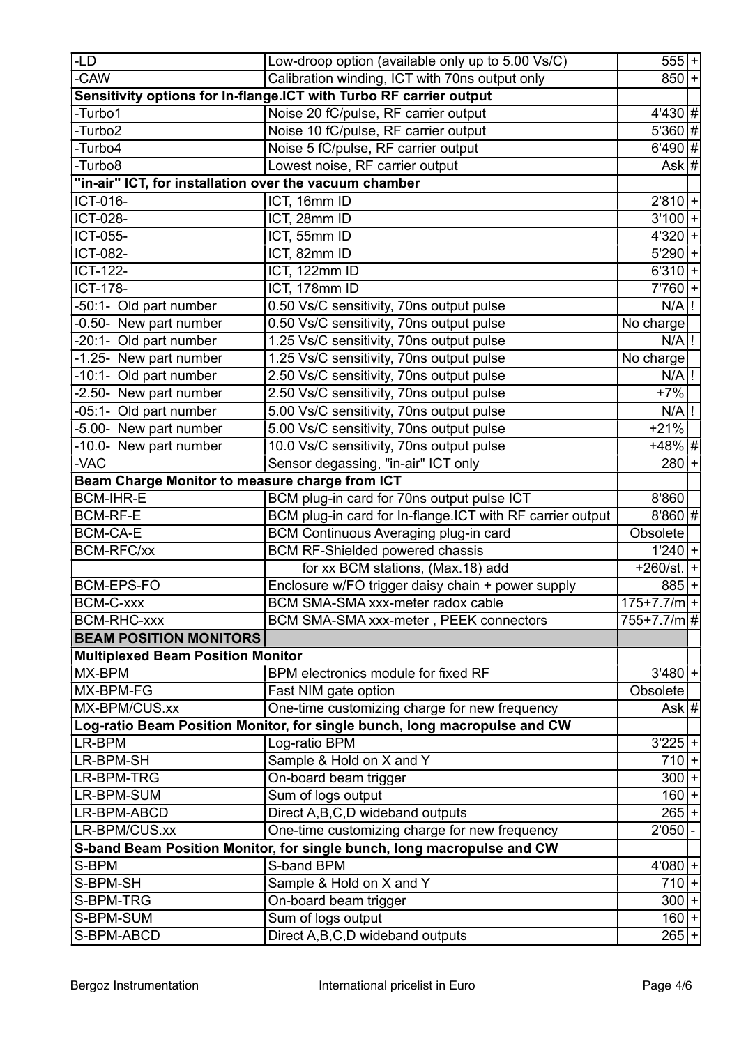| <b>LD</b>                                                                 | Low-droop option (available only up to 5.00 Vs/C)                                          | $555 + $                            |  |
|---------------------------------------------------------------------------|--------------------------------------------------------------------------------------------|-------------------------------------|--|
| -CAW                                                                      | Calibration winding, ICT with 70ns output only                                             | $850 +$                             |  |
|                                                                           | Sensitivity options for In-flange.ICT with Turbo RF carrier output                         |                                     |  |
| -Turbo1                                                                   | Noise 20 fC/pulse, RF carrier output                                                       | 4'430 #                             |  |
| -Turbo2                                                                   | Noise 10 fC/pulse, RF carrier output                                                       | 5'360 #                             |  |
| -Turbo4                                                                   | Noise 5 fC/pulse, RF carrier output                                                        | $6'490$ #                           |  |
| -Turbo8                                                                   | Lowest noise, RF carrier output                                                            | Ask $ \# $                          |  |
| "in-air" ICT, for installation over the vacuum chamber                    |                                                                                            |                                     |  |
| ICT-016-                                                                  | ICT, 16mm ID                                                                               | $2'810$ +                           |  |
| <b>ICT-028-</b>                                                           | ICT, 28mm ID                                                                               | $3'100$ +                           |  |
| <b>ICT-055-</b>                                                           | ICT, 55mm ID                                                                               | $4'320+$                            |  |
| <b>ICT-082-</b>                                                           | ICT, 82mm ID                                                                               | $5'290+$                            |  |
| <b>ICT-122-</b>                                                           | ICT, 122mm ID                                                                              | $6'310 +$                           |  |
| <b>ICT-178-</b>                                                           | ICT, 178mm ID                                                                              | $7'760+$                            |  |
| -50:1- Old part number                                                    | 0.50 Vs/C sensitivity, 70ns output pulse                                                   | $N/A$ !                             |  |
| -0.50- New part number                                                    | 0.50 Vs/C sensitivity, 70ns output pulse                                                   | No charge                           |  |
| -20:1- Old part number                                                    | 1.25 Vs/C sensitivity, 70ns output pulse                                                   | $N/A$ !                             |  |
| -1.25- New part number                                                    | 1.25 Vs/C sensitivity, 70ns output pulse                                                   | No charge                           |  |
| -10:1- Old part number                                                    | 2.50 Vs/C sensitivity, 70ns output pulse                                                   | $N/A$ !                             |  |
| -2.50- New part number                                                    | 2.50 Vs/C sensitivity, 70ns output pulse                                                   | $+7%$                               |  |
| -05:1- Old part number                                                    | 5.00 Vs/C sensitivity, 70ns output pulse                                                   | N/A                                 |  |
| -5.00- New part number                                                    | 5.00 Vs/C sensitivity, 70ns output pulse                                                   | $+21%$                              |  |
| -10.0- New part number                                                    | 10.0 Vs/C sensitivity, 70ns output pulse                                                   | +48% #                              |  |
| -VAC                                                                      | Sensor degassing, "in-air" ICT only                                                        | $280 +$                             |  |
| Beam Charge Monitor to measure charge from ICT                            |                                                                                            |                                     |  |
| <b>BCM-IHR-E</b>                                                          | BCM plug-in card for 70ns output pulse ICT                                                 | 8'860                               |  |
| <b>BCM-RF-E</b>                                                           | BCM plug-in card for In-flange.ICT with RF carrier output                                  | $8'860$ #                           |  |
| <b>BCM-CA-E</b>                                                           | BCM Continuous Averaging plug-in card                                                      | Obsolete                            |  |
| <b>BCM-RFC/xx</b>                                                         | <b>BCM RF-Shielded powered chassis</b>                                                     |                                     |  |
|                                                                           |                                                                                            | $1'240+$<br>+260/st. <sup> + </sup> |  |
| <b>BCM-EPS-FO</b>                                                         | for xx BCM stations, (Max.18) add                                                          |                                     |  |
|                                                                           | Enclosure w/FO trigger daisy chain + power supply                                          | $885+$                              |  |
| <b>BCM-C-xxx</b><br><b>BCM-RHC-xxx</b>                                    | BCM SMA-SMA xxx-meter radox cable<br>BCM SMA-SMA xxx-meter, PEEK connectors                | $175+7.7/m+$<br>755+7.7/m #         |  |
|                                                                           |                                                                                            |                                     |  |
| <b>BEAM POSITION MONITORS</b><br><b>Multiplexed Beam Position Monitor</b> |                                                                                            |                                     |  |
| MX-BPM                                                                    | BPM electronics module for fixed RF                                                        | $3'480 +$                           |  |
| MX-BPM-FG                                                                 |                                                                                            | Obsolete                            |  |
| MX-BPM/CUS.xx                                                             | Fast NIM gate option                                                                       |                                     |  |
|                                                                           | One-time customizing charge for new frequency                                              | Ask #                               |  |
| LR-BPM                                                                    | Log-ratio Beam Position Monitor, for single bunch, long macropulse and CW<br>Log-ratio BPM | $3'225$ +                           |  |
| LR-BPM-SH                                                                 | Sample & Hold on X and Y                                                                   | $710+$                              |  |
| LR-BPM-TRG                                                                |                                                                                            | $300 +$                             |  |
|                                                                           | On-board beam trigger                                                                      |                                     |  |
| LR-BPM-SUM                                                                | Sum of logs output                                                                         | $160 +$                             |  |
| LR-BPM-ABCD                                                               | Direct A, B, C, D wideband outputs                                                         | $265+$<br>2'050                     |  |
| LR-BPM/CUS.xx                                                             | One-time customizing charge for new frequency                                              |                                     |  |
|                                                                           | S-band Beam Position Monitor, for single bunch, long macropulse and CW                     |                                     |  |
| S-BPM                                                                     | S-band BPM                                                                                 | $4'080$ +                           |  |
| S-BPM-SH                                                                  | Sample & Hold on X and Y                                                                   | $710 +$<br>$300 +$                  |  |
| S-BPM-TRG                                                                 | On-board beam trigger                                                                      |                                     |  |
| S-BPM-SUM                                                                 | Sum of logs output                                                                         | $160 +$                             |  |
| S-BPM-ABCD                                                                | Direct A, B, C, D wideband outputs                                                         | $265 +$                             |  |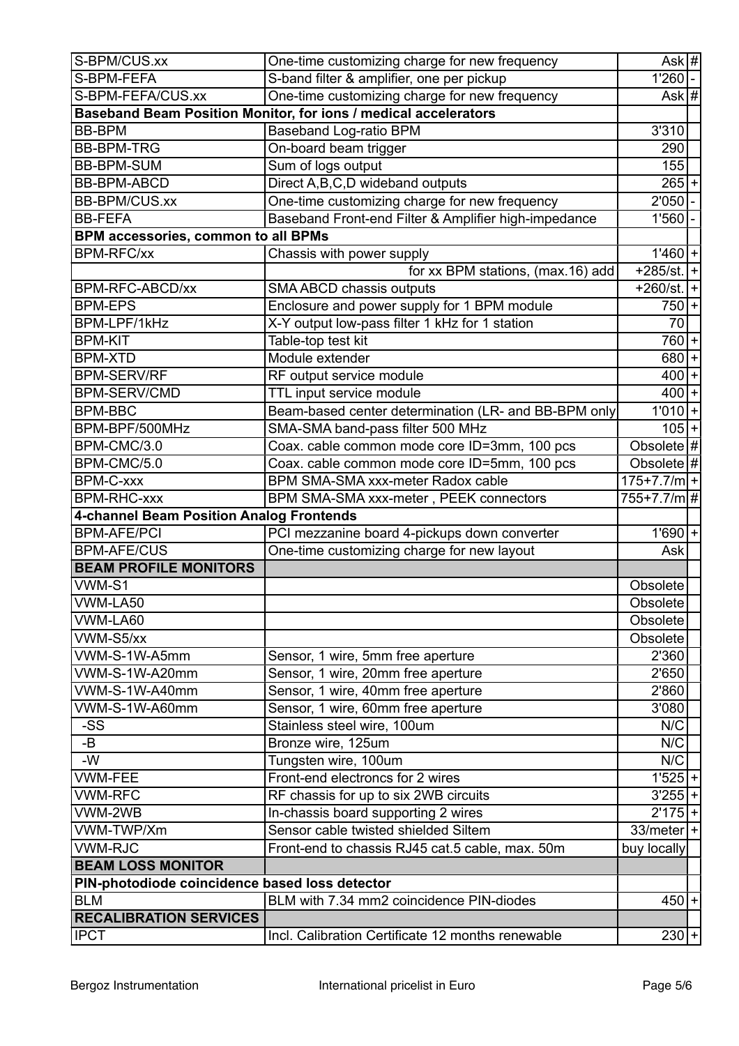| S-BPM/CUS.xx                                   | One-time customizing charge for new frequency                   | Ask #           |  |
|------------------------------------------------|-----------------------------------------------------------------|-----------------|--|
| S-BPM-FEFA                                     | S-band filter & amplifier, one per pickup                       | 1'260           |  |
| S-BPM-FEFA/CUS.xx                              | One-time customizing charge for new frequency                   | Ask $#$         |  |
|                                                | Baseband Beam Position Monitor, for ions / medical accelerators |                 |  |
| <b>BB-BPM</b>                                  | <b>Baseband Log-ratio BPM</b>                                   | 3'310           |  |
| <b>BB-BPM-TRG</b>                              | On-board beam trigger                                           | 290             |  |
| <b>BB-BPM-SUM</b>                              | Sum of logs output                                              | 155             |  |
| <b>BB-BPM-ABCD</b>                             | Direct A, B, C, D wideband outputs                              | $265+$          |  |
| <b>BB-BPM/CUS.xx</b>                           | One-time customizing charge for new frequency                   | 2'050           |  |
| <b>BB-FEFA</b>                                 | Baseband Front-end Filter & Amplifier high-impedance            | 1'560           |  |
| BPM accessories, common to all BPMs            |                                                                 |                 |  |
| <b>BPM-RFC/xx</b>                              | Chassis with power supply                                       | $1'460 +$       |  |
|                                                | for xx BPM stations, (max.16) add                               | $+285$ /st.  +  |  |
| BPM-RFC-ABCD/xx                                | SMA ABCD chassis outputs                                        | $+260$ /st. $+$ |  |
| <b>BPM-EPS</b>                                 | Enclosure and power supply for 1 BPM module                     | $750 +$         |  |
| BPM-LPF/1kHz                                   | X-Y output low-pass filter 1 kHz for 1 station                  | 70              |  |
| <b>BPM-KIT</b>                                 | Table-top test kit                                              | $760 +$         |  |
| <b>BPM-XTD</b>                                 | Module extender                                                 | $680 +$         |  |
| <b>BPM-SERV/RF</b>                             | RF output service module                                        | $400 +$         |  |
| <b>BPM-SERV/CMD</b>                            | TTL input service module                                        | $400 +$         |  |
| <b>BPM-BBC</b>                                 | Beam-based center determination (LR- and BB-BPM only            | $1'010$ +       |  |
| BPM-BPF/500MHz                                 | SMA-SMA band-pass filter 500 MHz                                | $105 +$         |  |
| BPM-CMC/3.0                                    | Coax. cable common mode core ID=3mm, 100 pcs                    | Obsolete $\#$   |  |
| BPM-CMC/5.0                                    | Coax. cable common mode core ID=5mm, 100 pcs                    | Obsolete $ #$   |  |
| <b>BPM-C-xxx</b>                               | BPM SMA-SMA xxx-meter Radox cable                               | $175+7.7/m$ +   |  |
| <b>BPM-RHC-xxx</b>                             | BPM SMA-SMA xxx-meter, PEEK connectors                          | 755+7.7/m #     |  |
| 4-channel Beam Position Analog Frontends       |                                                                 |                 |  |
| <b>BPM-AFE/PCI</b>                             | PCI mezzanine board 4-pickups down converter                    | $1'690+$        |  |
| <b>BPM-AFE/CUS</b>                             | One-time customizing charge for new layout                      | Ask             |  |
| <b>BEAM PROFILE MONITORS</b>                   |                                                                 |                 |  |
| VWM-S1                                         |                                                                 | Obsolete        |  |
| VWM-LA50                                       |                                                                 | Obsolete        |  |
| VWM-LA60                                       |                                                                 | Obsolete        |  |
| VWM-S5/xx                                      |                                                                 | Obsolete        |  |
| VWM-S-1W-A5mm                                  | Sensor, 1 wire, 5mm free aperture                               | 2'360           |  |
| VWM-S-1W-A20mm                                 | Sensor, 1 wire, 20mm free aperture                              | 2'650           |  |
| VWM-S-1W-A40mm                                 | Sensor, 1 wire, 40mm free aperture                              | 2'860           |  |
| VWM-S-1W-A60mm                                 | Sensor, 1 wire, 60mm free aperture                              | 3'080           |  |
| -SS                                            | Stainless steel wire, 100um                                     | N/C             |  |
| -B                                             | Bronze wire, 125um                                              | N/C             |  |
| -W                                             | Tungsten wire, 100um                                            | N/C             |  |
| <b>VWM-FEE</b>                                 | Front-end electroncs for 2 wires                                | $1'525+$        |  |
| <b>VWM-RFC</b>                                 | RF chassis for up to six 2WB circuits                           | $3'255$ +       |  |
| VWM-2WB                                        | In-chassis board supporting 2 wires                             | $2'175$ +       |  |
| VWM-TWP/Xm                                     | Sensor cable twisted shielded Siltem                            | $33/meter$  +   |  |
| <b>VWM-RJC</b>                                 | Front-end to chassis RJ45 cat.5 cable, max. 50m                 | buy locally     |  |
| <b>BEAM LOSS MONITOR</b>                       |                                                                 |                 |  |
| PIN-photodiode coincidence based loss detector |                                                                 |                 |  |
| <b>BLM</b>                                     | BLM with 7.34 mm2 coincidence PIN-diodes                        | $450 +$         |  |
| <b>RECALIBRATION SERVICES</b>                  |                                                                 |                 |  |
| <b>IPCT</b>                                    | Incl. Calibration Certificate 12 months renewable               | $230 +$         |  |